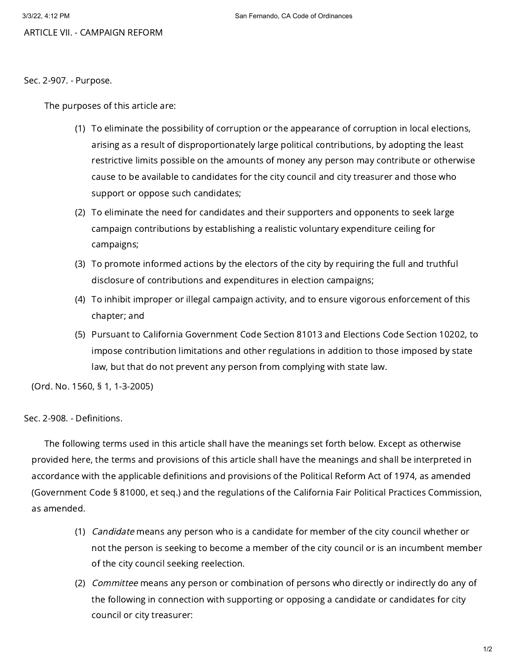ARTICLE VII. - CAMPAIGN REFORM

Sec. 2-907. - Purpose.

The purposes of this article are:

- (1) To eliminate the possibility of corruption or the appearance of corruption in local elections, arising as a result of disproportionately large political contributions, by adopting the least restrictive limits possible on the amounts of money any person may contribute or otherwise cause to be available to candidates for the city council and city treasurer and those who support or oppose such candidates;
- (2) To eliminate the need for candidates and their supporters and opponents to seek large campaign contributions by establishing a realistic voluntary expenditure ceiling for campaigns;
- (3) To promote informed actions by the electors of the city by requiring the full and truthful disclosure of contributions and expenditures in election campaigns;
- (4) To inhibit improper or illegal campaign activity, and to ensure vigorous enforcement of this chapter; and
- (5) Pursuant to California Government Code Section 81013 and Elections Code Section 10202, to impose contribution limitations and other regulations in addition to those imposed by state law, but that do not prevent any person from complying with state law.

(Ord. No. 1560, § 1, 1-3-2005)

Sec. 2-908. - Definitions.

The following terms used in this article shall have the meanings set forth below. Except as otherwise provided here, the terms and provisions of this article shall have the meanings and shall be interpreted in accordance with the applicable definitions and provisions of the Political Reform Act of 1974, as amended (Government Code § 81000, et seq.) and the regulations of the California Fair Political Practices Commission, as amended.

- (1) *Candidate* means any person who is a candidate for member of the city council whether or not the person is seeking to become a member of the city council or is an incumbent member of the city council seeking reelection.
- (2) *Committee* means any person or combination of persons who directly or indirectly do any of the following in connection with supporting or opposing a candidate or candidates for city council or city treasurer: